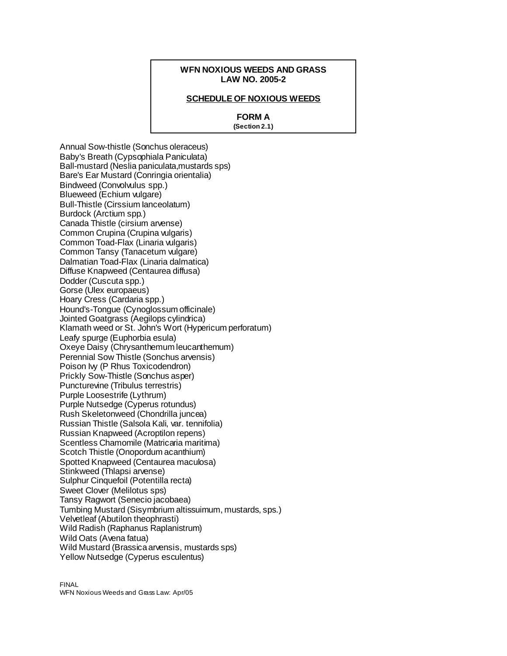### **WFN NOXIOUS WEEDS AND GRASS LAW NO. 2005-2**

#### **SCHEDULE OF NOXIOUS WEEDS**

### **FORM A**

**(Section 2.1)**

Annual Sow-thistle (Sonchus oleraceus) Baby's Breath (Cypsophiala Paniculata) Ball-mustard (Neslia paniculata,mustards sps) Bare's Ear Mustard (Conringia orientalia) Bindweed (Convolvulus spp.) Blueweed (Echium vulgare) Bull-Thistle (Cirssium Ianceolatum) Burdock (Arctium spp.) Canada Thistle (cirsium arvense) Common Crupina (Crupina vulgaris) Common Toad-Flax (Linaria vulgaris) Common Tansy (Tanacetum vulgare) Dalmatian Toad-Flax (Linaria dalmatica) Diffuse Knapweed (Centaurea diffusa) Dodder (Cuscuta spp.) Gorse (Ulex europaeus) Hoary Cress (Cardaria spp.) Hound's-Tongue (Cynoglossum officinale) Jointed Goatgrass (Aegilops cylindrica) Klamath weed or St. John's Wort (Hypericum perforatum) Leafy spurge (Euphorbia esula) Oxeye Daisy (Chrysanthemum leucanthemum) Perennial Sow Thistle (Sonchus arvensis) Poison Ivy (P Rhus Toxicodendron) Prickly Sow-Thistle (Sonchus asper) Puncturevine (Tribulus terrestris) Purple Loosestrife (Lythrum) Purple Nutsedge (Cyperus rotundus) Rush Skeletonweed (Chondrilla juncea) Russian Thistle (Salsola Kali, var. tennifolia) Russian Knapweed (Acroptilon repens) Scentless Chamomile (Matricaria maritima) Scotch Thistle (Onopordum acanthium) Spotted Knapweed (Centaurea maculosa) Stinkweed (Thlapsi arvense) Sulphur Cinquefoil (Potentilla recta) Sweet Clover (Melilotus sps) Tansy Ragwort (Senecio jacobaea) Tumbing Mustard (Sisymbrium altissuimum, mustards, sps.) Velvetleaf (Abutilon theophrasti) Wild Radish (Raphanus Raplanistrum) Wild Oats (Avena fatua) Wild Mustard (Brassica arvensis, mustards sps) Yellow Nutsedge (Cyperus esculentus)

FINAL WFN Noxious Weeds and Grass Law: Apr/05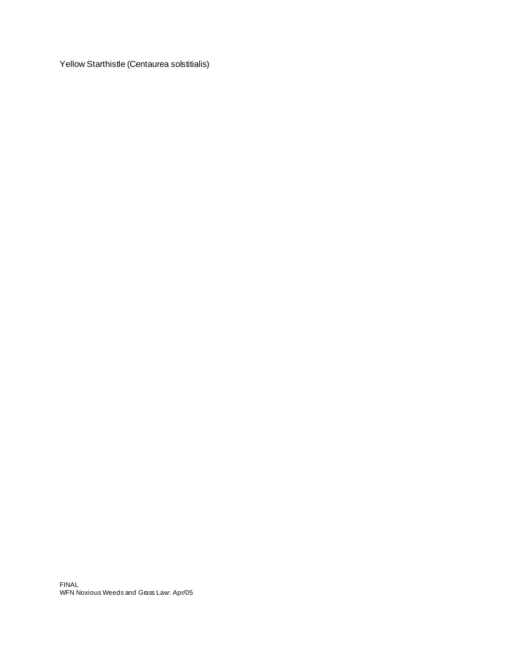Yellow Starthistle (Centaurea solstitialis)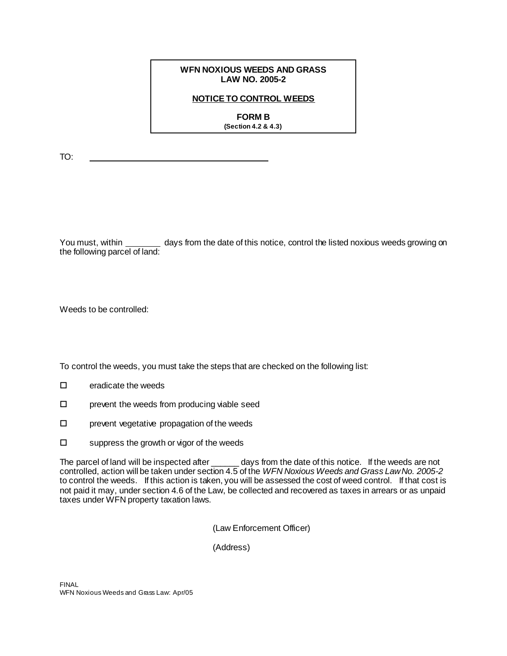## **WFN NOXIOUS WEEDS AND GRASS LAW NO. 2005-2**

# **NOTICE TO CONTROL WEEDS**

**FORM B (Section 4.2 & 4.3)**

TO:

You must, within days from the date of this notice, control the listed noxious weeds growing on the following parcel of land:

Weeds to be controlled:

To control the weeds, you must take the steps that are checked on the following list:

- $\square$  eradicate the weeds
- $\square$  prevent the weeds from producing viable seed
- $\square$  prevent vegetative propagation of the weeds
- $\square$  suppress the growth or vigor of the weeds

The parcel of land will be inspected after \_\_\_\_\_\_\_ days from the date of this notice. If the weeds are not controlled, action will be taken under section 4.5 of the *WFN Noxious Weeds and Grass Law No. 2005-2* to control the weeds. If this action is taken, you will be assessed the cost of weed control. If that cost is not paid it may, under section 4.6 of the Law, be collected and recovered as taxes in arrears or as unpaid taxes under WFN property taxation laws.

(Law Enforcement Officer)

(Address)